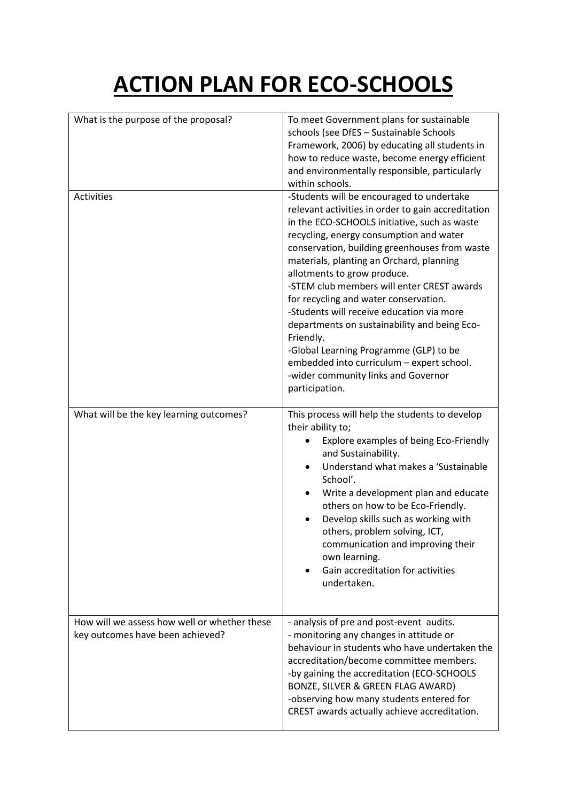## **ACTION PLAN FOR ECO-SCHOOLS**

| What is the purpose of the proposal?                                             | To meet Government plans for sustainable<br>schools (see DfES - Sustainable Schools<br>Framework, 2006) by educating all students in<br>how to reduce waste, become energy efficient<br>and environmentally responsible, particularly<br>within schools.                                                                                                                                                                                                                                                                                                                                                                                                                |
|----------------------------------------------------------------------------------|-------------------------------------------------------------------------------------------------------------------------------------------------------------------------------------------------------------------------------------------------------------------------------------------------------------------------------------------------------------------------------------------------------------------------------------------------------------------------------------------------------------------------------------------------------------------------------------------------------------------------------------------------------------------------|
| Activities                                                                       | -Students will be encouraged to undertake<br>relevant activities in order to gain accreditation<br>in the ECO-SCHOOLS initiative, such as waste<br>recycling, energy consumption and water<br>conservation, building greenhouses from waste<br>materials, planting an Orchard, planning<br>allotments to grow produce.<br>-STEM club members will enter CREST awards<br>for recycling and water conservation.<br>-Students will receive education via more<br>departments on sustainability and being Eco-<br>Friendly.<br>-Global Learning Programme (GLP) to be<br>embedded into curriculum - expert school.<br>-wider community links and Governor<br>participation. |
| What will be the key learning outcomes?                                          | This process will help the students to develop<br>their ability to;<br>Explore examples of being Eco-Friendly<br>and Sustainability.<br>Understand what makes a 'Sustainable<br>School'.<br>Write a development plan and educate<br>others on how to be Eco-Friendly.<br>Develop skills such as working with<br>others, problem solving, ICT,<br>communication and improving their<br>own learning.<br>Gain accreditation for activities<br>undertaken.                                                                                                                                                                                                                 |
| How will we assess how well or whether these<br>key outcomes have been achieved? | - analysis of pre and post-event audits.<br>- monitoring any changes in attitude or<br>behaviour in students who have undertaken the<br>accreditation/become committee members.<br>-by gaining the accreditation (ECO-SCHOOLS<br>BONZE, SILVER & GREEN FLAG AWARD)<br>-observing how many students entered for<br>CREST awards actually achieve accreditation.                                                                                                                                                                                                                                                                                                          |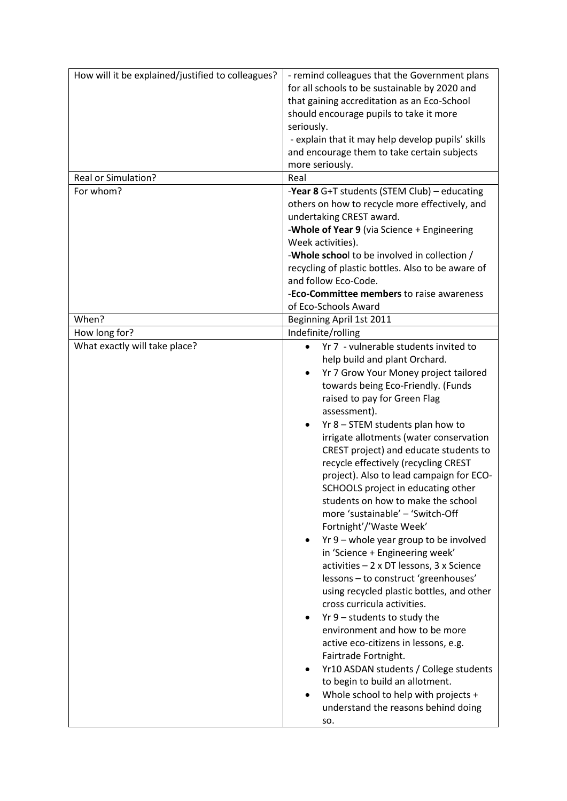| How will it be explained/justified to colleagues?<br><b>Real or Simulation?</b><br>For whom? | - remind colleagues that the Government plans<br>for all schools to be sustainable by 2020 and<br>that gaining accreditation as an Eco-School<br>should encourage pupils to take it more<br>seriously.<br>- explain that it may help develop pupils' skills<br>and encourage them to take certain subjects<br>more seriously.<br>Real<br>-Year 8 G+T students (STEM Club) - educating<br>others on how to recycle more effectively, and<br>undertaking CREST award.<br>-Whole of Year 9 (via Science + Engineering<br>Week activities).<br>-Whole school to be involved in collection /                                                                                                                                                                                                                                                                                                                                                                                                                                                                                                                                                   |
|----------------------------------------------------------------------------------------------|-------------------------------------------------------------------------------------------------------------------------------------------------------------------------------------------------------------------------------------------------------------------------------------------------------------------------------------------------------------------------------------------------------------------------------------------------------------------------------------------------------------------------------------------------------------------------------------------------------------------------------------------------------------------------------------------------------------------------------------------------------------------------------------------------------------------------------------------------------------------------------------------------------------------------------------------------------------------------------------------------------------------------------------------------------------------------------------------------------------------------------------------|
|                                                                                              | recycling of plastic bottles. Also to be aware of                                                                                                                                                                                                                                                                                                                                                                                                                                                                                                                                                                                                                                                                                                                                                                                                                                                                                                                                                                                                                                                                                         |
|                                                                                              | and follow Eco-Code.                                                                                                                                                                                                                                                                                                                                                                                                                                                                                                                                                                                                                                                                                                                                                                                                                                                                                                                                                                                                                                                                                                                      |
|                                                                                              | -Eco-Committee members to raise awareness                                                                                                                                                                                                                                                                                                                                                                                                                                                                                                                                                                                                                                                                                                                                                                                                                                                                                                                                                                                                                                                                                                 |
| When?                                                                                        | of Eco-Schools Award<br>Beginning April 1st 2011                                                                                                                                                                                                                                                                                                                                                                                                                                                                                                                                                                                                                                                                                                                                                                                                                                                                                                                                                                                                                                                                                          |
|                                                                                              | Indefinite/rolling                                                                                                                                                                                                                                                                                                                                                                                                                                                                                                                                                                                                                                                                                                                                                                                                                                                                                                                                                                                                                                                                                                                        |
| How long for?<br>What exactly will take place?                                               | Yr 7 - vulnerable students invited to<br>help build and plant Orchard.<br>Yr 7 Grow Your Money project tailored<br>$\bullet$<br>towards being Eco-Friendly. (Funds<br>raised to pay for Green Flag<br>assessment).<br>Yr 8 - STEM students plan how to<br>$\bullet$<br>irrigate allotments (water conservation<br>CREST project) and educate students to<br>recycle effectively (recycling CREST<br>project). Also to lead campaign for ECO-<br>SCHOOLS project in educating other<br>students on how to make the school<br>more 'sustainable' - 'Switch-Off<br>Fortnight'/'Waste Week'<br>Yr 9 - whole year group to be involved<br>in 'Science + Engineering week'<br>activities - 2 x DT lessons, 3 x Science<br>lessons - to construct 'greenhouses'<br>using recycled plastic bottles, and other<br>cross curricula activities.<br>$Yr$ 9 – students to study the<br>٠<br>environment and how to be more<br>active eco-citizens in lessons, e.g.<br>Fairtrade Fortnight.<br>Yr10 ASDAN students / College students<br>to begin to build an allotment.<br>Whole school to help with projects +<br>understand the reasons behind doing |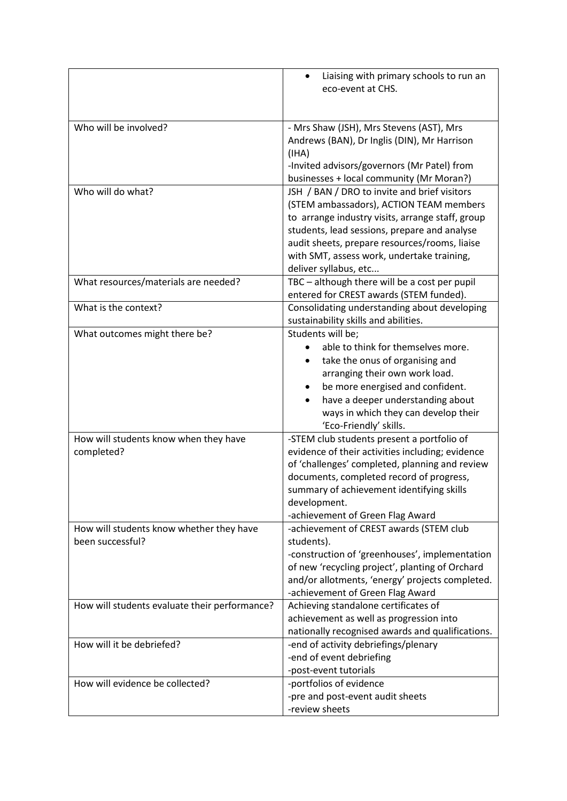|                                               | Liaising with primary schools to run an                                                    |
|-----------------------------------------------|--------------------------------------------------------------------------------------------|
|                                               | eco-event at CHS.                                                                          |
|                                               |                                                                                            |
| Who will be involved?                         | - Mrs Shaw (JSH), Mrs Stevens (AST), Mrs                                                   |
|                                               | Andrews (BAN), Dr Inglis (DIN), Mr Harrison                                                |
|                                               | (IHA)                                                                                      |
|                                               | -Invited advisors/governors (Mr Patel) from                                                |
|                                               | businesses + local community (Mr Moran?)                                                   |
| Who will do what?                             | JSH / BAN / DRO to invite and brief visitors                                               |
|                                               | (STEM ambassadors), ACTION TEAM members                                                    |
|                                               | to arrange industry visits, arrange staff, group                                           |
|                                               | students, lead sessions, prepare and analyse                                               |
|                                               | audit sheets, prepare resources/rooms, liaise                                              |
|                                               | with SMT, assess work, undertake training,                                                 |
|                                               | deliver syllabus, etc                                                                      |
| What resources/materials are needed?          | TBC - although there will be a cost per pupil                                              |
|                                               | entered for CREST awards (STEM funded).                                                    |
| What is the context?                          | Consolidating understanding about developing                                               |
|                                               | sustainability skills and abilities.                                                       |
| What outcomes might there be?                 | Students will be;                                                                          |
|                                               | able to think for themselves more.                                                         |
|                                               | take the onus of organising and                                                            |
|                                               | arranging their own work load.                                                             |
|                                               | be more energised and confident.                                                           |
|                                               | have a deeper understanding about                                                          |
|                                               | ways in which they can develop their                                                       |
|                                               | 'Eco-Friendly' skills.                                                                     |
| How will students know when they have         | -STEM club students present a portfolio of                                                 |
| completed?                                    | evidence of their activities including; evidence                                           |
|                                               | of 'challenges' completed, planning and review<br>documents, completed record of progress, |
|                                               | summary of achievement identifying skills                                                  |
|                                               | development.                                                                               |
|                                               | -achievement of Green Flag Award                                                           |
| How will students know whether they have      | -achievement of CREST awards (STEM club                                                    |
| been successful?                              | students).                                                                                 |
|                                               | -construction of 'greenhouses', implementation                                             |
|                                               | of new 'recycling project', planting of Orchard                                            |
|                                               | and/or allotments, 'energy' projects completed.                                            |
|                                               | -achievement of Green Flag Award                                                           |
| How will students evaluate their performance? | Achieving standalone certificates of                                                       |
|                                               | achievement as well as progression into                                                    |
|                                               | nationally recognised awards and qualifications.                                           |
| How will it be debriefed?                     | -end of activity debriefings/plenary                                                       |
|                                               | -end of event debriefing                                                                   |
|                                               | -post-event tutorials                                                                      |
| How will evidence be collected?               | -portfolios of evidence                                                                    |
|                                               | -pre and post-event audit sheets                                                           |
|                                               | -review sheets                                                                             |